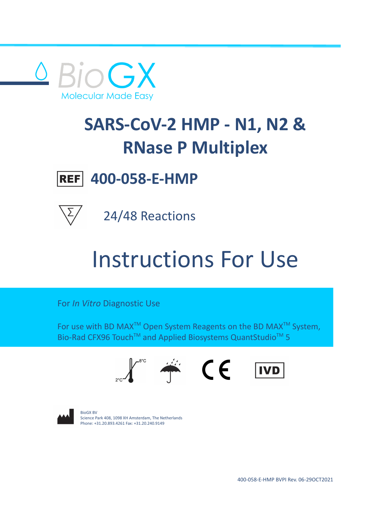

## **SARS-CoV-2 HMP - N1, N2 & RNase P Multiplex**



**400-058-E-HMP**



24/48 Reactions

# Instructions For Use

For *In Vitro* Diagnostic Use

For use with BD MAX<sup>™</sup> Open System Reagents on the BD MAX<sup>™</sup> System, Bio-Rad CFX96 Touch<sup>™</sup> and Applied Biosystems QuantStudio<sup>™</sup> 5





BioGX BV Science Park 408, 1098 XH Amsterdam, The Netherlands Phone: +31.20.893.4261 Fax: +31.20.240.9149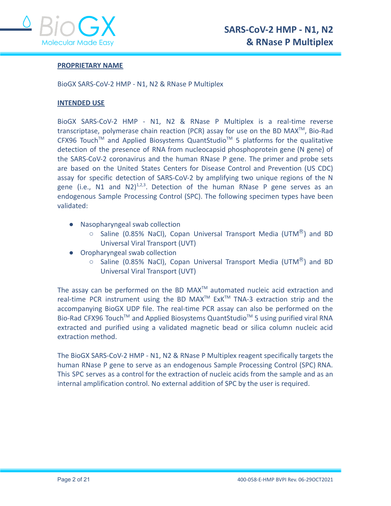

#### **PROPRIETARY NAME**

BioGX SARS-CoV-2 HMP - N1, N2 & RNase P Multiplex

#### **INTENDED USE**

BioGX SARS-CoV-2 HMP - N1, N2 & RNase P Multiplex is a real-time reverse transcriptase, polymerase chain reaction (PCR) assay for use on the BD MAX<sup>™</sup>, Bio-Rad CFX96 Touch<sup>™</sup> and Applied Biosystems QuantStudio<sup>™</sup> 5 platforms for the qualitative detection of the presence of RNA from nucleocapsid phosphoprotein gene (N gene) of the SARS-CoV-2 coronavirus and the human RNase P gene. The primer and probe sets are based on the United States Centers for Disease Control and Prevention (US CDC) assay for specific detection of SARS-CoV-2 by amplifying two unique regions of the N gene (i.e., N1 and N2) $^{1,2,3}$ . Detection of the human RNase P gene serves as an endogenous Sample Processing Control (SPC). The following specimen types have been validated:

- Nasopharyngeal swab collection
	- $\circ$  Saline (0.85% NaCl), Copan Universal Transport Media (UTM<sup>®</sup>) and BD Universal Viral Transport (UVT)
- Oropharyngeal swab collection
	- $\circ$  Saline (0.85% NaCl), Copan Universal Transport Media (UTM<sup>®</sup>) and BD Universal Viral Transport (UVT)

The assay can be performed on the BD MAX $^{TM}$  automated nucleic acid extraction and real-time PCR instrument using the BD MAX<sup>™</sup> ExK<sup>™</sup> TNA-3 extraction strip and the accompanying BioGX UDP file. The real-time PCR assay can also be performed on the Bio-Rad CFX96 Touch<sup>™</sup> and Applied Biosystems QuantStudio<sup>™</sup> 5 using purified viral RNA extracted and purified using a validated magnetic bead or silica column nucleic acid extraction method.

The BioGX SARS-CoV-2 HMP - N1, N2 & RNase P Multiplex reagent specifically targets the human RNase P gene to serve as an endogenous Sample Processing Control (SPC) RNA. This SPC serves as a control for the extraction of nucleic acids from the sample and as an internal amplification control. No external addition of SPC by the user is required.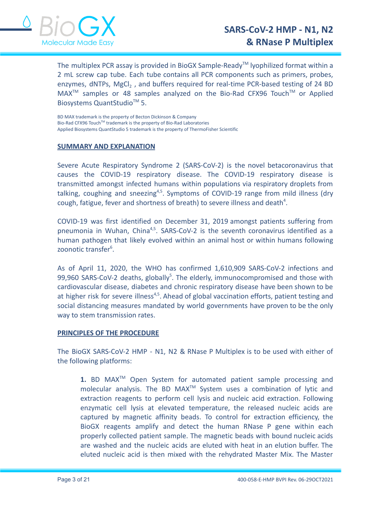

The multiplex PCR assay is provided in BioGX Sample-Ready™ lyophilized format within a 2 mL screw cap tube. Each tube contains all PCR components such as primers, probes, enzymes, dNTPs, MgCl<sub>2</sub>, and buffers required for real-time PCR-based testing of 24 BD MAX<sup>™</sup> samples or 48 samples analyzed on the Bio-Rad CFX96 Touch<sup>™</sup> or Applied Biosystems QuantStudio<sup>™</sup> 5.

BD MAX trademark is the property of Becton Dickinson & Company Bio-Rad CFX96 Touch™ trademark is the property of Bio-Rad Laboratories Applied Biosystems QuantStudio 5 trademark is the property of ThermoFisher Scientific

#### **SUMMARY AND EXPLANATION**

Severe Acute Respiratory Syndrome 2 (SARS-CoV-2) is the novel betacoronavirus that causes the COVID-19 respiratory disease. The COVID-19 respiratory disease is transmitted amongst infected humans within populations via respiratory droplets from talking, coughing and sneezing<sup>4,5</sup>. Symptoms of COVID-19 range from mild illness (dry cough, fatigue, fever and shortness of breath) to severe illness and death<sup>4</sup>.

COVID-19 was first identified on December 31, 2019 amongst patients suffering from pneumonia in Wuhan, China<sup>4,5</sup>. SARS-CoV-2 is the seventh coronavirus identified as a human pathogen that likely evolved within an animal host or within humans following zoonotic transfer<sup>6</sup>.

As of April 11, 2020, the WHO has confirmed 1,610,909 SARS-CoV-2 infections and 99,960 SARS-CoV-2 deaths, globally<sup>5</sup>. The elderly, immunocompromised and those with cardiovascular disease, diabetes and chronic respiratory disease have been shown to be at higher risk for severe illness<sup>4,5</sup>. Ahead of global vaccination efforts, patient testing and social distancing measures mandated by world governments have proven to be the only way to stem transmission rates.

#### **PRINCIPLES OF THE PROCEDURE**

The BioGX SARS-CoV-2 HMP - N1, N2 & RNase P Multiplex is to be used with either of the following platforms:

1. BD MAX<sup>™</sup> Open System for automated patient sample processing and molecular analysis. The BD MAX<sup>™</sup> System uses a combination of lytic and extraction reagents to perform cell lysis and nucleic acid extraction. Following enzymatic cell lysis at elevated temperature, the released nucleic acids are captured by magnetic affinity beads. To control for extraction efficiency, the BioGX reagents amplify and detect the human RNase P gene within each properly collected patient sample. The magnetic beads with bound nucleic acids are washed and the nucleic acids are eluted with heat in an elution buffer. The eluted nucleic acid is then mixed with the rehydrated Master Mix. The Master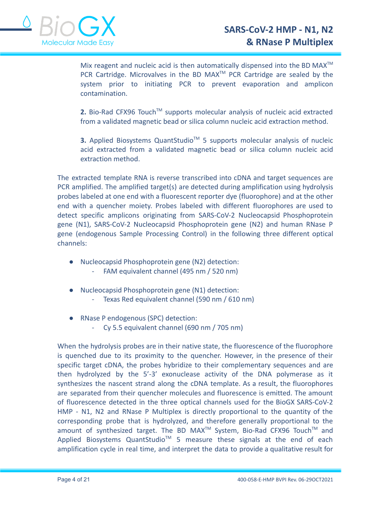

Mix reagent and nucleic acid is then automatically dispensed into the BD MAX<sup>™</sup> PCR Cartridge. Microvalves in the BD MAX<sup>™</sup> PCR Cartridge are sealed by the system prior to initiating PCR to prevent evaporation and amplicon contamination.

**2.** Bio-Rad CFX96 Touch™ supports molecular analysis of nucleic acid extracted from a validated magnetic bead or silica column nucleic acid extraction method.

**3.** Applied Biosystems QuantStudio<sup>™</sup> 5 supports molecular analysis of nucleic acid extracted from a validated magnetic bead or silica column nucleic acid extraction method.

The extracted template RNA is reverse transcribed into cDNA and target sequences are PCR amplified. The amplified target(s) are detected during amplification using hydrolysis probes labeled at one end with a fluorescent reporter dye (fluorophore) and at the other end with a quencher moiety. Probes labeled with different fluorophores are used to detect specific amplicons originating from SARS-CoV-2 Nucleocapsid Phosphoprotein gene (N1), SARS-CoV-2 Nucleocapsid Phosphoprotein gene (N2) and human RNase P gene (endogenous Sample Processing Control) in the following three different optical channels:

- Nucleocapsid Phosphoprotein gene (N2) detection:
	- FAM equivalent channel (495 nm / 520 nm)
- Nucleocapsid Phosphoprotein gene (N1) detection:
	- Texas Red equivalent channel (590 nm / 610 nm)
- RNase P endogenous (SPC) detection:
	- Cy 5.5 equivalent channel (690 nm / 705 nm)

When the hydrolysis probes are in their native state, the fluorescence of the fluorophore is quenched due to its proximity to the quencher. However, in the presence of their specific target cDNA, the probes hybridize to their complementary sequences and are then hydrolyzed by the 5'-3' exonuclease activity of the DNA polymerase as it synthesizes the nascent strand along the cDNA template. As a result, the fluorophores are separated from their quencher molecules and fluorescence is emitted. The amount of fluorescence detected in the three optical channels used for the BioGX SARS-CoV-2 HMP - N1, N2 and RNase P Multiplex is directly proportional to the quantity of the corresponding probe that is hydrolyzed, and therefore generally proportional to the amount of synthesized target. The BD MAX<sup>™</sup> System, Bio-Rad CFX96 Touch<sup>™</sup> and Applied Biosystems QuantStudio<sup>™</sup> 5 measure these signals at the end of each amplification cycle in real time, and interpret the data to provide a qualitative result for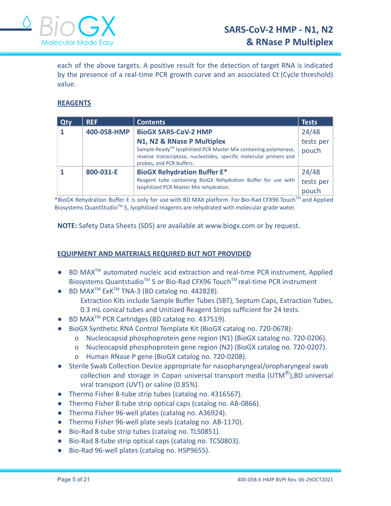

each of the above targets. A positive result for the detection of target RNA is indicated by the presence of a real-time PCR growth curve and an associated Ct (Cycle threshold) value.

#### **REAGENTS**

| Qty | <b>REF</b>  | <b>Contents</b>                                                                                                                                                                                             | <b>Tests</b>                |
|-----|-------------|-------------------------------------------------------------------------------------------------------------------------------------------------------------------------------------------------------------|-----------------------------|
|     | 400-058-HMP | <b>BioGX SARS-CoV-2 HMP</b>                                                                                                                                                                                 | 24/48                       |
|     |             | N1, N2 & RNase P Multiplex<br>Sample-Ready <sup>™</sup> lyophilized PCR Master Mix containing polymerase,<br>reverse transcriptase, nucleotides, specific molecular primers and<br>probes, and PCR buffers. | tests per<br>pouch          |
|     | 800-031-E   | <b>BioGX Rehydration Buffer E*</b><br>Reagent tube containing BioGX Rehydration Buffer for use with<br>Ivophilized PCR Master Mix rehydration.                                                              | 24/48<br>tests per<br>pouch |

\*BioGX Rehydration Buffer E is only for use with BD MAX platform. For Bio-Rad CFX96 Touch™ and Applied Biosystems QuantStudio<sup>™</sup> 5, lyophilized reagents are rehydrated with molecular grade water.

**NOTE:** Safety Data Sheets (SDS) are available at www.biogx.com or by request.

#### **EQUIPMENT AND MATERIALS REQUIRED BUT NOT PROVIDED**

- BD MAX<sup>™</sup> automated nucleic acid extraction and real-time PCR instrument, Applied Biosystems Quantstudio<sup>™</sup> 5 or Bio-Rad CFX96 Touch<sup>™</sup> real-time PCR instrument
- BD MAX<sup>™</sup> ExK<sup>™</sup> TNA-3 (BD catalog no. 442828). Extraction Kits include Sample Buffer Tubes (SBT), Septum Caps, Extraction Tubes, 0.3 mL conical tubes and Unitized Reagent Strips sufficient for 24 tests.
- BD MAX<sup>™</sup> PCR Cartridges (BD catalog no. 437519).
- BioGX Synthetic RNA Control Template Kit (BioGX catalog no. 720-0678):
	- o Nucleocapsid phosphoprotein gene region (N1) (BioGX catalog no. 720-0206).
	- o Nucleocapsid phosphoprotein gene region (N2) (BioGX catalog no. 720-0207).
	- o Human RNase P gene (BioGX catalog no. 720-0208).
- Sterile Swab Collection Device appropriate for nasopharyngeal/oropharyngeal swab collection and storage in Copan universal transport media (UTM<sup>®</sup>), BD universal viral transport (UVT) or saline (0.85%).
- Thermo Fisher 8-tube strip tubes (catalog no. 4316567).
- Thermo Fisher 8-tube strip optical caps (catalog no. AB-0866).
- Thermo Fisher 96-well plates (catalog no. A36924).
- Thermo Fisher 96-well plate seals (catalog no. AB-1170).
- Bio-Rad 8-tube strip tubes (catalog no. TLS0851).
- Bio-Rad 8-tube strip optical caps (catalog no. TCS0803).
- Bio-Rad 96-well plates (catalog no. HSP9655).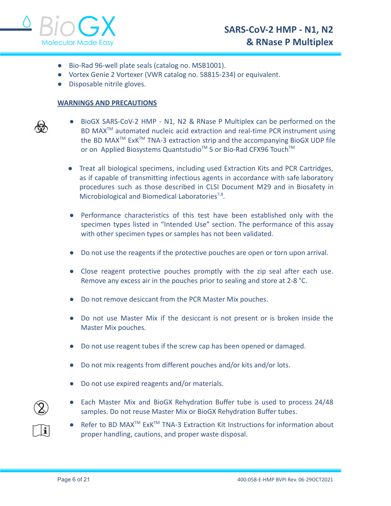

- Bio-Rad 96-well plate seals (catalog no. MSB1001).
- Vortex Genie 2 Vortexer (VWR catalog no. 58815-234) or equivalent.
- Disposable nitrile gloves.

#### **WARNINGS AND PRECAUTIONS**

- 
- BioGX SARS-CoV-2 HMP N1, N2 & RNase P Multiplex can be performed on the BD MAX<sup>™</sup> automated nucleic acid extraction and real-time PCR instrument using the BD MAX<sup>™</sup> ExK<sup>™</sup> TNA-3 extraction strip and the accompanying BioGX UDP file or on Applied Biosystems Quantstudio<sup>™</sup> 5 or Bio-Rad CFX96 Touch<sup>™</sup>
- Treat all biological specimens, including used Extraction Kits and PCR Cartridges, as if capable of transmitting infectious agents in accordance with safe laboratory procedures such as those described in CLSI Document M29 and in Biosafety in Microbiological and Biomedical Laboratories<sup>7,8</sup>.
- Performance characteristics of this test have been established only with the specimen types listed in "Intended Use" section. The performance of this assay with other specimen types or samples has not been validated.
- Do not use the reagents if the protective pouches are open or torn upon arrival.
- Close reagent protective pouches promptly with the zip seal after each use. Remove any excess air in the pouches prior to sealing and store at 2-8 °C.
- Do not remove desiccant from the PCR Master Mix pouches.
- Do not use Master Mix if the desiccant is not present or is broken inside the Master Mix pouches.
- Do not use reagent tubes if the screw cap has been opened or damaged.
- Do not mix reagents from different pouches and/or kits and/or lots.
- Do not use expired reagents and/or materials.
- Each Master Mix and BioGX Rehydration Buffer tube is used to process 24/48 samples. Do not reuse Master Mix or BioGX Rehydration Buffer tubes.
- Refer to BD MAX<sup>™</sup> ExK<sup>™</sup> TNA-3 Extraction Kit Instructions for information about proper handling, cautions, and proper waste disposal.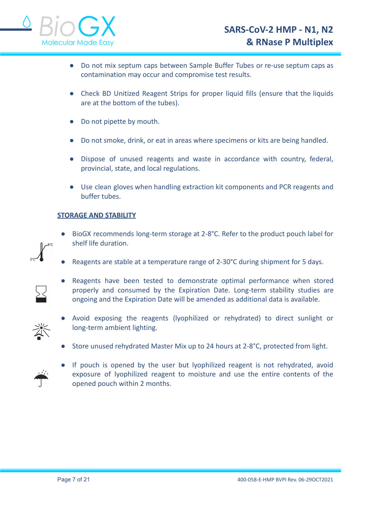

- Do not mix septum caps between Sample Buffer Tubes or re-use septum caps as contamination may occur and compromise test results.
- Check BD Unitized Reagent Strips for proper liquid fills (ensure that the liquids are at the bottom of the tubes).
- Do not pipette by mouth.
- Do not smoke, drink, or eat in areas where specimens or kits are being handled.
- Dispose of unused reagents and waste in accordance with country, federal, provincial, state, and local regulations.
- Use clean gloves when handling extraction kit components and PCR reagents and buffer tubes.

#### **STORAGE AND STABILITY**

- BioGX recommends long-term storage at 2-8°C. Refer to the product pouch label for shelf life duration.
- Reagents are stable at a temperature range of 2-30°C during shipment for 5 days.



Reagents have been tested to demonstrate optimal performance when stored properly and consumed by the Expiration Date. Long-term stability studies are ongoing and the Expiration Date will be amended as additional data is available.



- Avoid exposing the reagents (lyophilized or rehydrated) to direct sunlight or long-term ambient lighting.
- Store unused rehydrated Master Mix up to 24 hours at 2-8°C, protected from light.



If pouch is opened by the user but lyophilized reagent is not rehydrated, avoid exposure of lyophilized reagent to moisture and use the entire contents of the opened pouch within 2 months.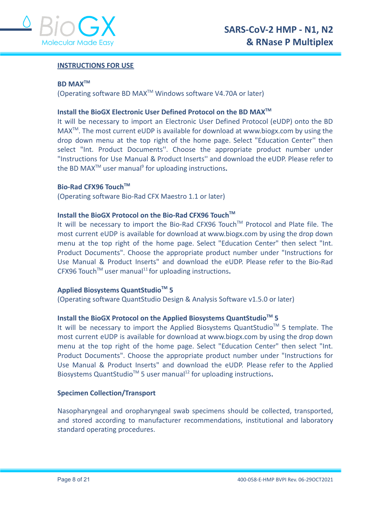

#### **INSTRUCTIONS FOR USE**

#### **BD MAXTM**

(Operating software BD MAX<sup>™</sup> Windows software V4.70A or later)

#### **Install the BioGX Electronic User Defined Protocol on the BD MAXTM**

It will be necessary to import an Electronic User Defined Protocol (eUDP) onto the BD MAX<sup>™</sup>. The most current eUDP is available for download at www.biogx.com by using the drop down menu at the top right of the home page. Select "Education Center'' then select "Int. Product Documents''. Choose the appropriate product number under "Instructions for Use Manual & Product Inserts'' and download the eUDP. Please refer to the BD MAX<sup>™</sup> user manual<sup>9</sup> for uploading instructions.

#### **Bio-Rad CFX96 TouchTM**

(Operating software Bio-Rad CFX Maestro 1.1 or later)

#### **Install the BioGX Protocol on the Bio-Rad CFX96 TouchTM**

It will be necessary to import the Bio-Rad CFX96 Touch™ Protocol and Plate file. The most current eUDP is available for download at www.biogx.com by using the drop down menu at the top right of the home page. Select "Education Center" then select "Int. Product Documents". Choose the appropriate product number under "Instructions for Use Manual & Product Inserts" and download the eUDP. Please refer to the Bio-Rad CFX96 Touch<sup>™</sup> user manual<sup>11</sup> for uploading instructions.

#### **Applied Biosystems QuantStudioTM 5**

(Operating software QuantStudio Design & Analysis Software v1.5.0 or later)

#### **Install the BioGX Protocol on the Applied Biosystems QuantStudioTM 5**

It will be necessary to import the Applied Biosystems QuantStudio<sup>™</sup> 5 template. The most current eUDP is available for download at www.biogx.com by using the drop down menu at the top right of the home page. Select "Education Center" then select "Int. Product Documents". Choose the appropriate product number under "Instructions for Use Manual & Product Inserts" and download the eUDP. Please refer to the Applied Biosystems QuantStudio<sup>™</sup> 5 user manual<sup>12</sup> for uploading instructions.

#### **Specimen Collection/Transport**

Nasopharyngeal and oropharyngeal swab specimens should be collected, transported, and stored according to manufacturer recommendations, institutional and laboratory standard operating procedures.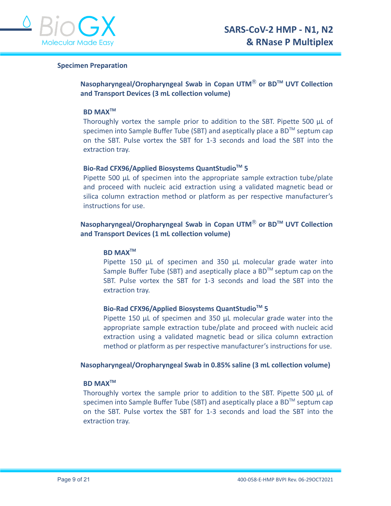

#### **Specimen Preparation**

**Nasopharyngeal/Oropharyngeal Swab in Copan UTM**Ⓡ **or BDTM UVT Collection and Transport Devices (3 mL collection volume)**

#### **BD MAXTM**

Thoroughly vortex the sample prior to addition to the SBT. Pipette 500 μL of specimen into Sample Buffer Tube (SBT) and aseptically place a BD™ septum cap on the SBT. Pulse vortex the SBT for 1-3 seconds and load the SBT into the extraction tray.

#### **Bio-Rad CFX96/Applied Biosystems QuantStudioTM 5**

Pipette 500 μL of specimen into the appropriate sample extraction tube/plate and proceed with nucleic acid extraction using a validated magnetic bead or silica column extraction method or platform as per respective manufacturer's instructions for use.

#### **Nasopharyngeal/Oropharyngeal Swab in Copan UTM**Ⓡ **or BDTM UVT Collection and Transport Devices (1 mL collection volume)**

#### **BD MAXTM**

Pipette 150 μL of specimen and 350 μL molecular grade water into Sample Buffer Tube (SBT) and aseptically place a BD™ septum cap on the SBT. Pulse vortex the SBT for 1-3 seconds and load the SBT into the extraction tray.

#### **Bio-Rad CFX96/Applied Biosystems QuantStudioTM 5**

Pipette 150 μL of specimen and 350 μL molecular grade water into the appropriate sample extraction tube/plate and proceed with nucleic acid extraction using a validated magnetic bead or silica column extraction method or platform as per respective manufacturer's instructions for use.

**Nasopharyngeal/Oropharyngeal Swab in 0.85% saline (3 mL collection volume)**

#### **BD MAXTM**

Thoroughly vortex the sample prior to addition to the SBT. Pipette 500 μL of specimen into Sample Buffer Tube (SBT) and aseptically place a BD™ septum cap on the SBT. Pulse vortex the SBT for 1-3 seconds and load the SBT into the extraction tray.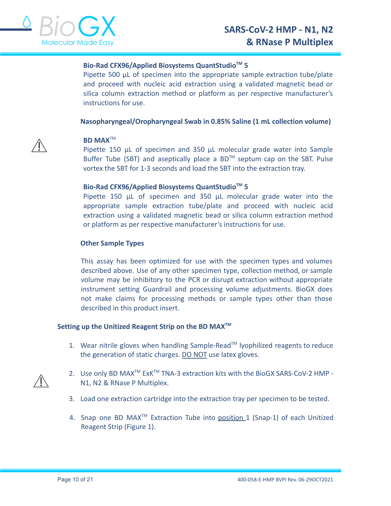

#### **Bio-Rad CFX96/Applied Biosystems QuantStudioTM 5**

Pipette 500 μL of specimen into the appropriate sample extraction tube/plate and proceed with nucleic acid extraction using a validated magnetic bead or silica column extraction method or platform as per respective manufacturer's instructions for use.

#### **Nasopharyngeal/Oropharyngeal Swab in 0.85% Saline (1 mL collection volume)**

#### **BD MAX**TM

Pipette 150 μL of specimen and 350 μL molecular grade water into Sample Buffer Tube (SBT) and aseptically place a BD™ septum cap on the SBT. Pulse vortex the SBT for 1-3 seconds and load the SBT into the extraction tray.

#### **Bio-Rad CFX96/Applied Biosystems QuantStudioTM 5**

Pipette 150 μL of specimen and 350 μL molecular grade water into the appropriate sample extraction tube/plate and proceed with nucleic acid extraction using a validated magnetic bead or silica column extraction method or platform as per respective manufacturer's instructions for use.

#### **Other Sample Types**

This assay has been optimized for use with the specimen types and volumes described above. Use of any other specimen type, collection method, or sample volume may be inhibitory to the PCR or disrupt extraction without appropriate instrument setting Guardrail and processing volume adjustments. BioGX does not make claims for processing methods or sample types other than those described in this product insert.

#### **Setting up the Unitized Reagent Strip on the BD MAXTM**

- 1. Wear nitrile gloves when handling Sample-Read™ lyophilized reagents to reduce the generation of static charges. DO NOT use latex gloves.
- 2. Use only BD MAX<sup>™</sup> ExK<sup>™</sup> TNA-3 extraction kits with the BioGX SARS-CoV-2 HMP -N1, N2 & RNase P Multiplex.
- 3. Load one extraction cartridge into the extraction tray per specimen to be tested.
- 4. Snap one BD MAX<sup>™</sup> Extraction Tube into position 1 (Snap-1) of each Unitized Reagent Strip (Figure 1).

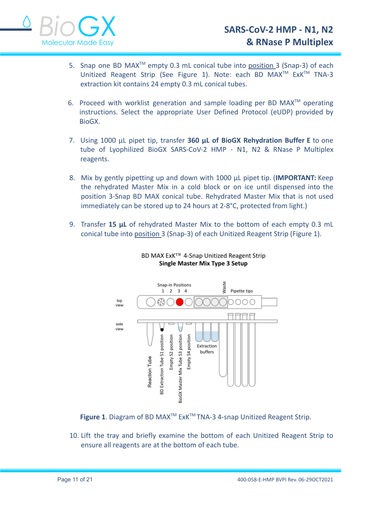

- 5. Snap one BD MAX<sup>™</sup> empty 0.3 mL conical tube into position 3 (Snap-3) of each Unitized Reagent Strip (See Figure 1). Note: each BD MAX<sup>™</sup> ExK<sup>™</sup> TNA-3 extraction kit contains 24 empty 0.3 mL conical tubes.
- 6. Proceed with worklist generation and sample loading per BD MAX<sup>TM</sup> operating instructions. Select the appropriate User Defined Protocol (eUDP) provided by BioGX.
- 7. Using 1000 μL pipet tip, transfer **360 μL of BioGX Rehydration Buffer E** to one tube of Lyophilized BioGX SARS-CoV-2 HMP - N1, N2 & RNase P Multiplex reagents.
- 8. Mix by gently pipetting up and down with 1000 μL pipet tip. (**IMPORTANT:** Keep the rehydrated Master Mix in a cold block or on ice until dispensed into the position 3-Snap BD MAX conical tube. Rehydrated Master Mix that is not used immediately can be stored up to 24 hours at 2-8°C, protected from light.)
- 9. Transfer **15 μL** of rehydrated Master Mix to the bottom of each empty 0.3 mL conical tube into position 3 (Snap-3) of each Unitized Reagent Strip (Figure 1).



#### BD MAX ExK™ 4-Snap Unitized Reagent Strip Single Master Mix Type 3 Setup

Figure 1. Diagram of BD MAX<sup>™</sup> ExK<sup>™</sup> TNA-3 4-snap Unitized Reagent Strip.

10. Lift the tray and briefly examine the bottom of each Unitized Reagent Strip to ensure all reagents are at the bottom of each tube.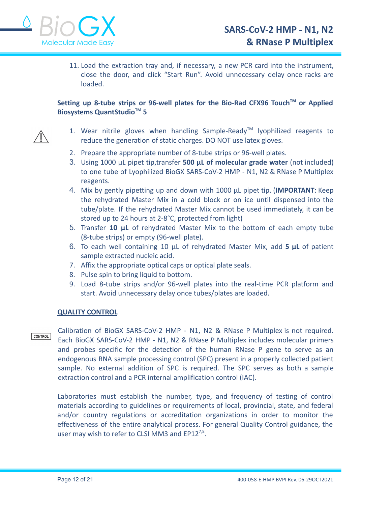

11. Load the extraction tray and, if necessary, a new PCR card into the instrument, close the door, and click "Start Run". Avoid unnecessary delay once racks are loaded.

#### **Setting up 8-tube strips or 96-well plates for the Bio-Rad CFX96 TouchTM or Applied Biosystems QuantStudioTM 5**

- 
- 1. Wear nitrile gloves when handling Sample-Ready<sup>™</sup> lyophilized reagents to reduce the generation of static charges. DO NOT use latex gloves.
- 2. Prepare the appropriate number of 8-tube strips or 96-well plates.
- 3. Using 1000 μL pipet tip,transfer **500 μL of molecular grade water** (not included) to one tube of Lyophilized BioGX SARS-CoV-2 HMP - N1, N2 & RNase P Multiplex reagents.
- 4. Mix by gently pipetting up and down with 1000 μL pipet tip. (**IMPORTANT**: Keep the rehydrated Master Mix in a cold block or on ice until dispensed into the tube/plate. If the rehydrated Master Mix cannot be used immediately, it can be stored up to 24 hours at 2-8°C, protected from light)
- 5. Transfer **10 μL** of rehydrated Master Mix to the bottom of each empty tube (8-tube strips) or empty (96-well plate).
- 6. To each well containing 10 μL of rehydrated Master Mix, add **5 μL** of patient sample extracted nucleic acid.
- 7. Affix the appropriate optical caps or optical plate seals.
- 8. Pulse spin to bring liquid to bottom.
- 9. Load 8-tube strips and/or 96-well plates into the real-time PCR platform and start. Avoid unnecessary delay once tubes/plates are loaded.

#### **QUALITY CONTROL**

CONTROL

Calibration of BioGX SARS-CoV-2 HMP - N1, N2 & RNase P Multiplex is not required. Each BioGX SARS-CoV-2 HMP - N1, N2 & RNase P Multiplex includes molecular primers and probes specific for the detection of the human RNase P gene to serve as an endogenous RNA sample processing control (SPC) present in a properly collected patient sample. No external addition of SPC is required. The SPC serves as both a sample extraction control and a PCR internal amplification control (IAC).

Laboratories must establish the number, type, and frequency of testing of control materials according to guidelines or requirements of local, provincial, state, and federal and/or country regulations or accreditation organizations in order to monitor the effectiveness of the entire analytical process. For general Quality Control guidance, the user may wish to refer to CLSI MM3 and  $EPI2^{7,8}$ .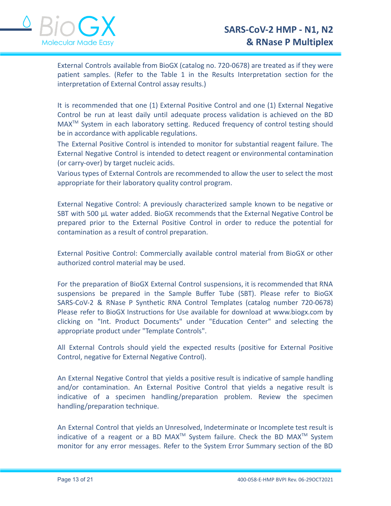



External Controls available from BioGX (catalog no. 720-0678) are treated as if they were patient samples. (Refer to the Table 1 in the Results Interpretation section for the interpretation of External Control assay results.)

It is recommended that one (1) External Positive Control and one (1) External Negative Control be run at least daily until adequate process validation is achieved on the BD MAX<sup>™</sup> System in each laboratory setting. Reduced frequency of control testing should be in accordance with applicable regulations.

The External Positive Control is intended to monitor for substantial reagent failure. The External Negative Control is intended to detect reagent or environmental contamination (or carry-over) by target nucleic acids.

Various types of External Controls are recommended to allow the user to select the most appropriate for their laboratory quality control program.

External Negative Control: A previously characterized sample known to be negative or SBT with 500 μL water added. BioGX recommends that the External Negative Control be prepared prior to the External Positive Control in order to reduce the potential for contamination as a result of control preparation.

External Positive Control: Commercially available control material from BioGX or other authorized control material may be used.

For the preparation of BioGX External Control suspensions, it is recommended that RNA suspensions be prepared in the Sample Buffer Tube (SBT). Please refer to BioGX SARS-CoV-2 & RNase P Synthetic RNA Control Templates (catalog number 720-0678) Please refer to BioGX Instructions for Use available for download at [www.biogx.com](http://www.biogx.com) by clicking on "Int. Product Documents" under "Education Center" and selecting the appropriate product under "Template Controls".

All External Controls should yield the expected results (positive for External Positive Control, negative for External Negative Control).

An External Negative Control that yields a positive result is indicative of sample handling and/or contamination. An External Positive Control that yields a negative result is indicative of a specimen handling/preparation problem. Review the specimen handling/preparation technique.

An External Control that yields an Unresolved, Indeterminate or Incomplete test result is indicative of a reagent or a BD MAX<sup>™</sup> System failure. Check the BD MAX<sup>™</sup> System monitor for any error messages. Refer to the System Error Summary section of the BD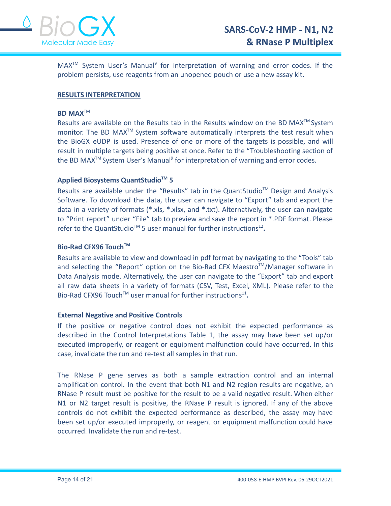

MAX<sup>™</sup> System User's Manual<sup>9</sup> for interpretation of warning and error codes. If the problem persists, use reagents from an unopened pouch or use a new assay kit.

#### **RESULTS INTERPRETATION**

#### **BD MAX**TM

Results are available on the Results tab in the Results window on the BD MAX<sup>™</sup> System monitor. The BD MAX<sup>™</sup> System software automatically interprets the test result when the BioGX eUDP is used. Presence of one or more of the targets is possible, and will result in multiple targets being positive at once. Refer to the "Troubleshooting section of the BD MAX<sup>™</sup> System User's Manual<sup>9</sup> for interpretation of warning and error codes.

#### **Applied Biosystems QuantStudioTM 5**

Results are available under the "Results" tab in the QuantStudio<sup>TM</sup> Design and Analysis Software. To download the data, the user can navigate to "Export" tab and export the data in a variety of formats (\*.xls, \*.xlsx, and \*.txt). Alternatively, the user can navigate to "Print report" under "File" tab to preview and save the report in \*.PDF format. Please refer to the QuantStudio<sup>™</sup> 5 user manual for further instructions<sup>12</sup>.

#### **Bio-Rad CFX96 TouchTM**

Results are available to view and download in pdf format by navigating to the "Tools" tab and selecting the "Report" option on the Bio-Rad CFX Maestro™/Manager software in Data Analysis mode. Alternatively, the user can navigate to the "Export" tab and export all raw data sheets in a variety of formats (CSV, Test, Excel, XML). Please refer to the Bio-Rad CFX96 Touch<sup>™</sup> user manual for further instructions<sup>11</sup>.

#### **External Negative and Positive Controls**

If the positive or negative control does not exhibit the expected performance as described in the Control Interpretations Table 1, the assay may have been set up/or executed improperly, or reagent or equipment malfunction could have occurred. In this case, invalidate the run and re-test all samples in that run.

The RNase P gene serves as both a sample extraction control and an internal amplification control. In the event that both N1 and N2 region results are negative, an RNase P result must be positive for the result to be a valid negative result. When either N1 or N2 target result is positive, the RNase P result is ignored. If any of the above controls do not exhibit the expected performance as described, the assay may have been set up/or executed improperly, or reagent or equipment malfunction could have occurred. Invalidate the run and re-test.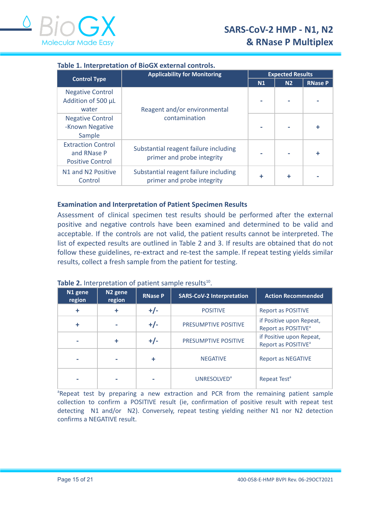

| Table 1. Interpretation of Blogy external controls.                 |                                                                     |                         |                |                |
|---------------------------------------------------------------------|---------------------------------------------------------------------|-------------------------|----------------|----------------|
|                                                                     | <b>Applicability for Monitoring</b>                                 | <b>Expected Results</b> |                |                |
| <b>Control Type</b>                                                 |                                                                     | N1                      | N <sub>2</sub> | <b>RNase P</b> |
| <b>Negative Control</b><br>Addition of 500 µL<br>water              | Reagent and/or environmental                                        |                         |                |                |
| <b>Negative Control</b><br>-Known Negative<br>Sample                | contamination                                                       |                         |                |                |
| <b>Extraction Control</b><br>and RNase P<br><b>Positive Control</b> | Substantial reagent failure including<br>primer and probe integrity |                         |                |                |
| N1 and N2 Positive<br>Control                                       | Substantial reagent failure including<br>primer and probe integrity | +                       | +              |                |

#### **Table 1. Interpretation of BioGX external controls.**

#### **Examination and Interpretation of Patient Specimen Results**

Assessment of clinical specimen test results should be performed after the external positive and negative controls have been examined and determined to be valid and acceptable. If the controls are not valid, the patient results cannot be interpreted. The list of expected results are outlined in Table 2 and 3. If results are obtained that do not follow these guidelines, re-extract and re-test the sample. If repeat testing yields similar results, collect a fresh sample from the patient for testing.

| N1 gene<br>region | N <sub>2</sub> gene<br>region | <b>RNase P</b> | <b>SARS-CoV-2 Interpretation</b> | <b>Action Recommended</b>                                   |
|-------------------|-------------------------------|----------------|----------------------------------|-------------------------------------------------------------|
| ٠                 | ٠                             | $+/-$          | <b>POSITIVE</b>                  | <b>Report as POSITIVE</b>                                   |
| ٠                 |                               | $+/-$          | PRESUMPTIVE POSITIVE             | if Positive upon Repeat,<br>Report as POSITIVE <sup>a</sup> |
|                   | +                             | $+/-$          | PRESUMPTIVE POSITIVE             | if Positive upon Repeat,<br>Report as POSITIVE <sup>a</sup> |
|                   |                               | ٠              | <b>NEGATIVE</b>                  | <b>Report as NEGATIVE</b>                                   |
|                   |                               |                | <b>UNRESOLVED<sup>a</sup></b>    | Repeat Test <sup>a</sup>                                    |

#### Table 2. Interpretation of patient sample results<sup>10</sup>.

<sup>a</sup>Repeat test by preparing a new extraction and PCR from the remaining patient sample collection to confirm a POSITIVE result (ie, confirmation of positive result with repeat test detecting N1 and/or N2). Conversely, repeat testing yielding neither N1 nor N2 detection confirms a NEGATIVE result.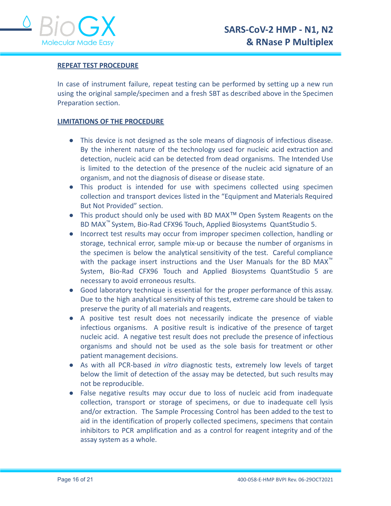



#### **REPEAT TEST PROCEDURE**

In case of instrument failure, repeat testing can be performed by setting up a new run using the original sample/specimen and a fresh SBT as described above in the Specimen Preparation section.

#### **LIMITATIONS OF THE PROCEDURE**

- This device is not designed as the sole means of diagnosis of infectious disease. By the inherent nature of the technology used for nucleic acid extraction and detection, nucleic acid can be detected from dead organisms. The Intended Use is limited to the detection of the presence of the nucleic acid signature of an organism, and not the diagnosis of disease or disease state.
- This product is intended for use with specimens collected using specimen collection and transport devices listed in the "Equipment and Materials Required But Not Provided" section.
- This product should only be used with BD MAX™ Open System Reagents on the BD MAX™ System, Bio-Rad CFX96 Touch, Applied Biosystems QuantStudio 5.
- Incorrect test results may occur from improper specimen collection, handling or storage, technical error, sample mix-up or because the number of organisms in the specimen is below the analytical sensitivity of the test. Careful compliance with the package insert instructions and the User Manuals for the BD MAX<sup>™</sup> System, Bio-Rad CFX96 Touch and Applied Biosystems QuantStudio 5 are necessary to avoid erroneous results.
- Good laboratory technique is essential for the proper performance of this assay. Due to the high analytical sensitivity of this test, extreme care should be taken to preserve the purity of all materials and reagents.
- A positive test result does not necessarily indicate the presence of viable infectious organisms. A positive result is indicative of the presence of target nucleic acid. A negative test result does not preclude the presence of infectious organisms and should not be used as the sole basis for treatment or other patient management decisions.
- As with all PCR-based *in vitro* diagnostic tests, extremely low levels of target below the limit of detection of the assay may be detected, but such results may not be reproducible.
- False negative results may occur due to loss of nucleic acid from inadequate collection, transport or storage of specimens, or due to inadequate cell lysis and/or extraction. The Sample Processing Control has been added to the test to aid in the identification of properly collected specimens, specimens that contain inhibitors to PCR amplification and as a control for reagent integrity and of the assay system as a whole.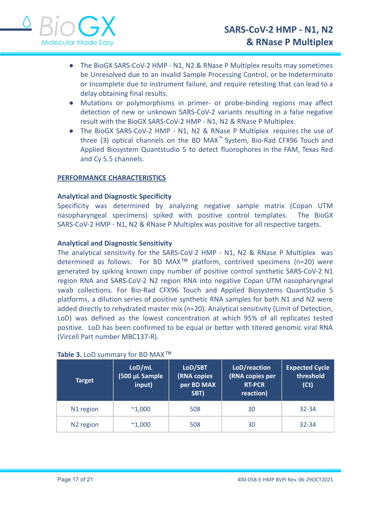

- The BioGX SARS-CoV-2 HMP N1, N2 & RNase P Multiplex results may sometimes be Unresolved due to an invalid Sample Processing Control, or be Indeterminate or Incomplete due to instrument failure, and require retesting that can lead to a delay obtaining final results.
- Mutations or polymorphisms in primer- or probe-binding regions may affect detection of new or unknown SARS-CoV-2 variants resulting in a false negative result with the BioGX SARS-CoV-2 HMP - N1, N2 & RNase P Multiplex.
- The BioGX SARS-CoV-2 HMP N1, N2 & RNase P Multiplex requires the use of three (3) optical channels on the BD MAX™ System, Bio-Rad CFX96 Touch and Applied Biosystem Quantstudio 5 to detect fluorophores in the FAM, Texas Red and Cy 5.5 channels.

#### **PERFORMANCE CHARACTERISTICS**

#### **Analytical and Diagnostic Specificity**

Specificity was determined by analyzing negative sample matrix (Copan UTM nasopharyngeal specimens) spiked with positive control templates. The BioGX SARS-CoV-2 HMP - N1, N2 & RNase P Multiplex was positive for all respective targets.

#### **Analytical and Diagnostic Sensitivity**

The analytical sensitivity for the SARS-CoV-2 HMP - N1, N2 & RNase P Multiplex was determined as follows: For BD MAX™ platform, contrived specimens (n=20) were generated by spiking known copy number of positive control synthetic SARS-CoV-2 N1 region RNA and SARS-CoV-2 N2 region RNA into negative Copan UTM nasopharyngeal swab collections. For Bio-Rad CFX96 Touch and Applied Biosystems QuantStudio 5 platforms, a dilution series of positive synthetic RNA samples for both N1 and N2 were added directly to rehydrated master mix (n=20). Analytical sensitivity (Limit of Detection, LoD) was defined as the lowest concentration at which 95% of all replicates tested positive. LoD has been confirmed to be equal or better with titered genomic viral RNA (Vircell Part number MBC137-R).

| <b>Target</b>         | LoD/mL<br>(500 µL Sample<br>input) | LoD/SBT<br>(RNA copies<br>per BD MAX<br>SBT) | LoD/reaction<br>(RNA copies per<br><b>RT-PCR</b><br>reaction) | <b>Expected Cycle</b><br>threshold<br>(Ct) |
|-----------------------|------------------------------------|----------------------------------------------|---------------------------------------------------------------|--------------------------------------------|
| N1 region             | $^{\sim}1,000$                     | 508                                          | 30                                                            | $32 - 34$                                  |
| N <sub>2</sub> region | $^{\sim}1,000$                     | 508                                          | 30                                                            | $32 - 34$                                  |

#### Table 3. LoD summary for BD MAX<sup>™</sup>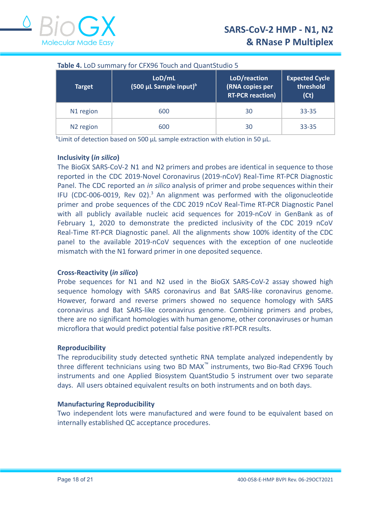

| Table 4. LoD summary for CFX96 Touch and QuantStudio 5 |                                              |                                                            |                                            |  |
|--------------------------------------------------------|----------------------------------------------|------------------------------------------------------------|--------------------------------------------|--|
| <b>Target</b>                                          | LoD/mL<br>(500 µL Sample input) <sup>b</sup> | LoD/reaction<br>(RNA copies per<br><b>RT-PCR reaction)</b> | <b>Expected Cycle</b><br>threshold<br>(Ct) |  |
| N1 region                                              | 600                                          | 30                                                         | $33 - 35$                                  |  |
| N <sub>2</sub> region                                  | 600                                          | 30                                                         | $33 - 35$                                  |  |

 $b$ Limit of detection based on 500  $\mu$ L sample extraction with elution in 50  $\mu$ L.

#### **Inclusivity (***in silico***)**

The BioGX SARS-CoV-2 N1 and N2 primers and probes are identical in sequence to those reported in the CDC 2019-Novel Coronavirus (2019-nCoV) Real-Time RT-PCR Diagnostic Panel. The CDC reported an *in silico* analysis of primer and probe sequences within their IFU (CDC-006-0019, Rev 02).<sup>3</sup> An alignment was performed with the oligonucleotide primer and probe sequences of the CDC 2019 nCoV Real-Time RT-PCR Diagnostic Panel with all publicly available nucleic acid sequences for 2019-nCoV in GenBank as of February 1, 2020 to demonstrate the predicted inclusivity of the CDC 2019 nCoV Real-Time RT-PCR Diagnostic panel. All the alignments show 100% identity of the CDC panel to the available 2019-nCoV sequences with the exception of one nucleotide mismatch with the N1 forward primer in one deposited sequence.

#### **Cross-Reactivity (***in silico***)**

Probe sequences for N1 and N2 used in the BioGX SARS-CoV-2 assay showed high sequence homology with SARS coronavirus and Bat SARS-like coronavirus genome. However, forward and reverse primers showed no sequence homology with SARS coronavirus and Bat SARS-like coronavirus genome. Combining primers and probes, there are no significant homologies with human genome, other coronaviruses or human microflora that would predict potential false positive rRT-PCR results.

#### **Reproducibility**

The reproducibility study detected synthetic RNA template analyzed independently by three different technicians using two BD MAX™ instruments, two Bio-Rad CFX96 Touch instruments and one Applied Biosystem QuantStudio 5 instrument over two separate days. All users obtained equivalent results on both instruments and on both days.

#### **Manufacturing Reproducibility**

Two independent lots were manufactured and were found to be equivalent based on internally established QC acceptance procedures.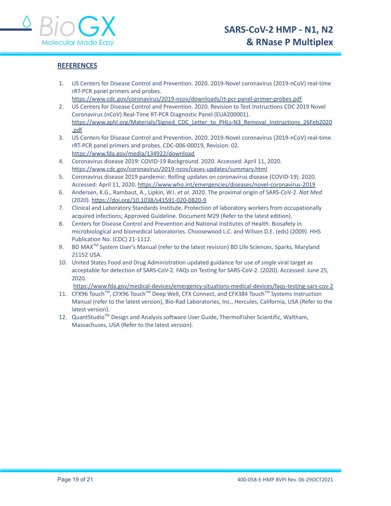

#### **REFERENCES**

- 1. US Centers for Disease Control and Prevention. 2020. 2019-Novel coronavirus (2019-nCoV) real-time rRT-PCR panel primers and probes.
- <https://www.cdc.gov/coronavirus/2019-ncov/downloads/rt-pcr-panel-primer-probes.pdf> 2. US Centers for Disease Control and Prevention. 2020. Revision to Test Instructions CDC 2019 Novel Coronavirus (nCoV) Real-Time RT-PCR Diagnostic Panel (EUA200001). [https://www.aphl.org/Materials/Signed\\_CDC\\_Letter\\_to\\_PHLs-N3\\_Removal\\_Instructions\\_26Feb2020](https://www.aphl.org/Materials/Signed_CDC_Letter_to_PHLs-N3_Removal_Instructions_26Feb2020.pdf)
- [.pdf](https://www.aphl.org/Materials/Signed_CDC_Letter_to_PHLs-N3_Removal_Instructions_26Feb2020.pdf) 3. US Centers for Disease Control and Prevention. 2020. 2019-Novel coronavirus (2019-nCoV) real-time rRT-PCR panel primers and probes. CDC-006-00019, Revision: 02. <https://www.fda.gov/media/134922/download>
- 4. Coronavirus disease 2019: COVID-19 Background. 2020. Accessed: April 11, 2020. <https://www.cdc.gov/coronavirus/2019-ncov/cases-updates/summary.html>
- 5. [Coronavirus](https://www.who.int/emergencies/diseases/novel-coronavirus-2019) disease 2019 pandemic: Rolling updates on coronavirus disease (COVID-19). 2020. Accessed: April 11, 2020. <https://www.who.int/emergencies/diseases/novel-coronavirus-2019>
- 6. Andersen, K.G., Rambaut, A., Lipkin, W.I. *et al.* 2020. The proximal origin of SARS-CoV-2. *Nat Med* (2020). <https://doi.org/10.1038/s41591-020-0820-9>
- 7. Clinical and Laboratory Standards Institute. Protection of laboratory workers from occupationally acquired infections; Approved Guideline. Document M29 (Refer to the latest edition).
- 8. Centers for Disease Control and Prevention and National Institutes of Health. Biosafety in microbiological and biomedical laboratories. Choosewood L.C. and Wilson D.E. (eds) (2009). HHS Publication No. (CDC) 21-1112.
- 9. BD MAX<sup>™</sup> System User's Manual (refer to the latest revision) BD Life Sciences, Sparks, Maryland 21152 USA.
- 10. United States Food and Drug Administration updated guidance for use of *single* viral target as acceptable for detection of SARS-CoV-2. FAQs on Testing for SARS-CoV-2. (2020). Accessed: June 25, 2020.

<https://www.fda.gov/medical-devices/emergency-situations-medical-devices/faqs-testing-sars-cov-2>

- 11. CFX96 Touch<sup>™</sup>, CFX96 Touch<sup>™</sup> Deep Well, CFX Connect, and CFX384 Touch<sup>™</sup> Systems Instruction Manual (refer to the latest version), Bio-Rad Laboratories, Inc., Hercules, California, USA (Refer to the latest version).
- 12. QuantStudio<sup>™</sup> Design and Analysis software User Guide, ThermoFisher Scientific, Waltham, Massachuses, USA (Refer to the latest version).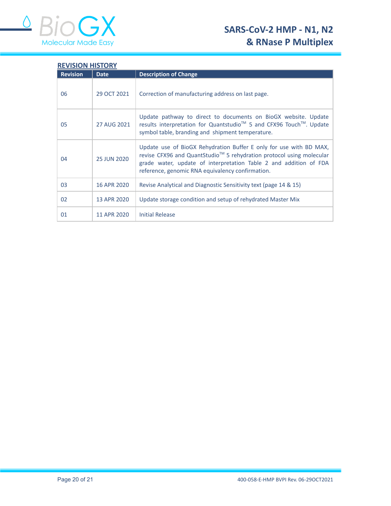

| <b>REVISION HISTORY</b> |             |                                                                                                                                                                                                                                                                                   |  |
|-------------------------|-------------|-----------------------------------------------------------------------------------------------------------------------------------------------------------------------------------------------------------------------------------------------------------------------------------|--|
| <b>Revision</b>         | <b>Date</b> | <b>Description of Change</b>                                                                                                                                                                                                                                                      |  |
| 06                      | 29 OCT 2021 | Correction of manufacturing address on last page.                                                                                                                                                                                                                                 |  |
| 05                      | 27 AUG 2021 | Update pathway to direct to documents on BioGX website. Update<br>results interpretation for Quantstudio™ 5 and CFX96 Touch™. Update<br>symbol table, branding and shipment temperature.                                                                                          |  |
| 04                      | 25 JUN 2020 | Update use of BioGX Rehydration Buffer E only for use with BD MAX,<br>revise CFX96 and QuantStudio <sup>™</sup> 5 rehydration protocol using molecular  <br>grade water, update of interpretation Table 2 and addition of FDA<br>reference, genomic RNA equivalency confirmation. |  |
| 03                      | 16 APR 2020 | Revise Analytical and Diagnostic Sensitivity text (page 14 & 15)                                                                                                                                                                                                                  |  |
| 02                      | 13 APR 2020 | Update storage condition and setup of rehydrated Master Mix                                                                                                                                                                                                                       |  |
| 01                      | 11 APR 2020 | <b>Initial Release</b>                                                                                                                                                                                                                                                            |  |